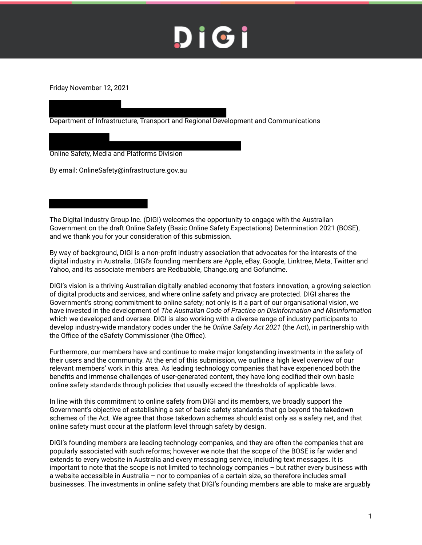Friday November 12, 2021

Department of Infrastructure, Transport and Regional Development and Communications

Online Safety, Media and Platforms Division

By email: OnlineSafety@infrastructure.gov.au

The Digital Industry Group Inc. (DIGI) welcomes the opportunity to engage with the Australian Government on the draft Online Safety (Basic Online Safety Expectations) Determination 2021 (BOSE), and we thank you for your consideration of this submission.

By way of background, DIGI is a non-profit industry association that advocates for the interests of the digital industry in Australia. DIGI's founding members are Apple, eBay, Google, Linktree, Meta, Twitter and Yahoo, and its associate members are Redbubble, Change.org and Gofundme.

DIGI's vision is a thriving Australian digitally-enabled economy that fosters innovation, a growing selection of digital products and services, and where online safety and privacy are protected. DIGI shares the Government's strong commitment to online safety; not only is it a part of our organisational vision, we have invested in the development of *The Australian Code of Practice on Disinformation and Misinformation* which we developed and oversee. DIGI is also working with a diverse range of industry participants to develop industry-wide mandatory codes under the he *Online Safety Act 2021* (the Act), in partnership with the Office of the eSafety Commissioner (the Office).

Furthermore, our members have and continue to make major longstanding investments in the safety of their users and the community. At the end of this submission, we outline a high level overview of our relevant members' work in this area. As leading technology companies that have experienced both the benefits and immense challenges of user-generated content, they have long codified their own basic online safety standards through policies that usually exceed the thresholds of applicable laws.

In line with this commitment to online safety from DIGI and its members, we broadly support the Government's objective of establishing a set of basic safety standards that go beyond the takedown schemes of the Act. We agree that those takedown schemes should exist only as a safety net, and that online safety must occur at the platform level through safety by design.

DIGI's founding members are leading technology companies, and they are often the companies that are popularly associated with such reforms; however we note that the scope of the BOSE is far wider and extends to every website in Australia and every messaging service, including text messages. It is important to note that the scope is not limited to technology companies – but rather every business with a website accessible in Australia – nor to companies of a certain size, so therefore includes small businesses. The investments in online safety that DIGI's founding members are able to make are arguably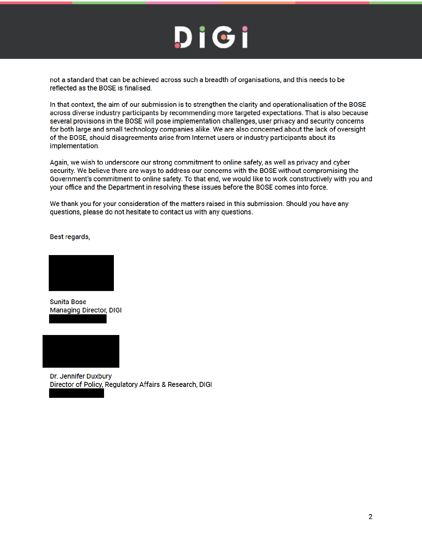not a standard that can be achieved across such a breadth of organisations, and this needs to be reflected as the BOSE is finalised.

In that context, the aim of our submission is to strengthen the clarity and operationalisation of the BOSE across diverse industry participants by recommending more targeted expectations. That is also because several provisions in the BOSE will pose implementation challenges, user privacy and security concerns for both large and small technology companies alike. We are also concerned about the lack of oversight of the BOSE, should disagreements arise from Internet users or industry participants about its implementation.

Again, we wish to underscore our strong commitment to online safety, as well as privacy and cyber security. We believe there are ways to address our concerns with the BOSE without compromising the Government's commitment to online safety. To that end, we would like to work constructively with you and your office and the Department in resolving these issues before the BOSE comes into force.

We thank you for your consideration of the matters raised in this submission. Should you have any questions, please do not hesitate to contact us with any questions.

Best regards,



**Sunita Bose Managing Director, DIGI** 



Dr. Jennifer Duxbury Director of Policy, Regulatory Affairs & Research, DIGI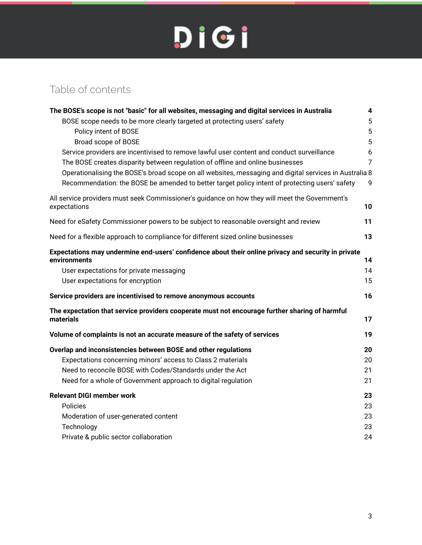### Table of contents

| The BOSE's scope is not "basic" for all websites, messaging and digital services in Australia                       | 4              |
|---------------------------------------------------------------------------------------------------------------------|----------------|
| BOSE scope needs to be more clearly targeted at protecting users' safety                                            | 5              |
| Policy intent of BOSE                                                                                               | 5              |
| Broad scope of BOSE                                                                                                 | 5              |
| Service providers are incentivised to remove lawful user content and conduct surveillance                           | 6              |
| The BOSE creates disparity between regulation of offline and online businesses                                      | $\overline{7}$ |
| Operationalising the BOSE's broad scope on all websites, messaging and digital services in Australia 8              |                |
| Recommendation: the BOSE be amended to better target policy intent of protecting users' safety                      | 9              |
| All service providers must seek Commissioner's guidance on how they will meet the Government's<br>expectations      | 10             |
| Need for eSafety Commissioner powers to be subject to reasonable oversight and review                               | 11             |
| Need for a flexible approach to compliance for different sized online businesses                                    | 13             |
| Expectations may undermine end-users' confidence about their online privacy and security in private<br>environments | 14             |
| User expectations for private messaging                                                                             | 14             |
| User expectations for encryption                                                                                    | 15             |
| Service providers are incentivised to remove anonymous accounts                                                     | 16             |
| The expectation that service providers cooperate must not encourage further sharing of harmful<br>materials         | 17             |
| Volume of complaints is not an accurate measure of the safety of services                                           | 19             |
| Overlap and inconsistencies between BOSE and other regulations                                                      | 20             |
| Expectations concerning minors' access to Class 2 materials                                                         | 20             |
| Need to reconcile BOSE with Codes/Standards under the Act                                                           | 21             |
| Need for a whole of Government approach to digital regulation                                                       | 21             |
| <b>Relevant DIGI member work</b>                                                                                    | 23             |
| <b>Policies</b>                                                                                                     | 23             |
| Moderation of user-generated content                                                                                | 23             |
| Technology                                                                                                          | 23             |
| Private & public sector collaboration                                                                               | 24             |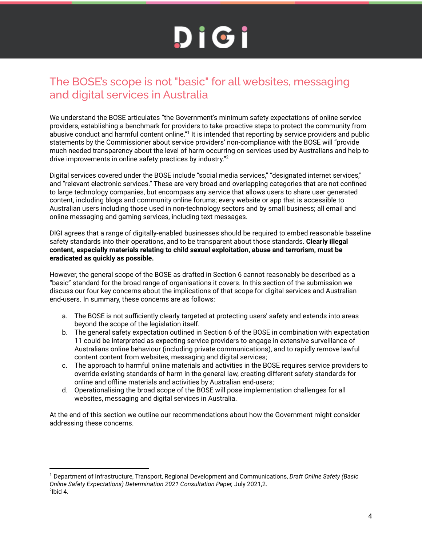### The BOSE's scope is not "basic" for all websites, messaging and digital services in Australia

We understand the BOSE articulates "the Government's minimum safety expectations of online service providers, establishing a benchmark for providers to take proactive steps to protect the community from .<br>abusive conduct and harmful content online."<sup>1</sup> It is intended that reporting by service providers and public statements by the Commissioner about service providers' non-compliance with the BOSE will "provide much needed transparency about the level of harm occurring on services used by Australians and help to drive improvements in online safety practices by industry."<sup>2</sup>

Digital services covered under the BOSE include "social media services," "designated internet services," and "relevant electronic services." These are very broad and overlapping categories that are not confined to large technology companies, but encompass any service that allows users to share user generated content, including blogs and community online forums; every website or app that is accessible to Australian users including those used in non-technology sectors and by small business; all email and online messaging and gaming services, including text messages.

DIGI agrees that a range of digitally-enabled businesses should be required to embed reasonable baseline safety standards into their operations, and to be transparent about those standards. **Clearly illegal content, especially materials relating to child sexual exploitation, abuse and terrorism, must be eradicated as quickly as possible.**

However, the general scope of the BOSE as drafted in Section 6 cannot reasonably be described as a "basic" standard for the broad range of organisations it covers. In this section of the submission we discuss our four key concerns about the implications of that scope for digital services and Australian end-users. In summary, these concerns are as follows:

- a. The BOSE is not sufficiently clearly targeted at protecting users' safety and extends into areas beyond the scope of the legislation itself.
- b. The general safety expectation outlined in Section 6 of the BOSE in combination with expectation 11 could be interpreted as expecting service providers to engage in extensive surveillance of Australians online behaviour (including private communications), and to rapidly remove lawful content content from websites, messaging and digital services;
- c. The approach to harmful online materials and activities in the BOSE requires service providers to override existing standards of harm in the general law, creating different safety standards for online and offline materials and activities by Australian end-users;
- d. Operationalising the broad scope of the BOSE will pose implementation challenges for all websites, messaging and digital services in Australia.

At the end of this section we outline our recommendations about how the Government might consider addressing these concerns.

 $^2$ lbid 4. <sup>1</sup> Department of Infrastructure, Transport, Regional Development and Communications, *Draft Online Safety (Basic Online Safety Expectations) Determination 2021 Consultation Paper,* July 2021,2.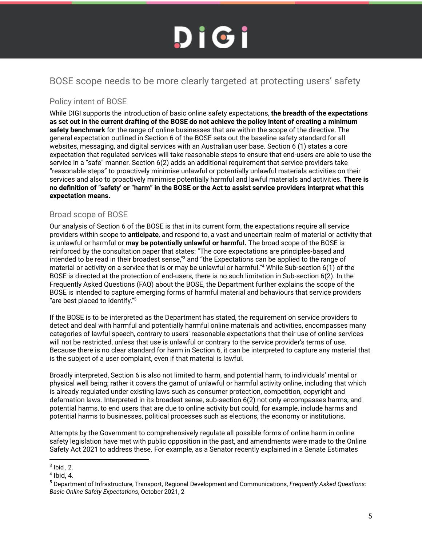### BOSE scope needs to be more clearly targeted at protecting users' safety

#### Policy intent of BOSE

While DIGI supports the introduction of basic online safety expectations, **the breadth of the expectations as set out in the current drafting of the BOSE do not achieve the policy intent of creating a minimum safety benchmark** for the range of online businesses that are within the scope of the directive. The general expectation outlined in Section 6 of the BOSE sets out the baseline safety standard for all websites, messaging, and digital services with an Australian user base. Section 6 (1) states a core expectation that regulated services will take reasonable steps to ensure that end-users are able to use the service in a "safe" manner. Section 6(2) adds an additional requirement that service providers take "reasonable steps" to proactively minimise unlawful or potentially unlawful materials activities on their services and also to proactively minimise potentially harmful and lawful materials and activities. **There is no definition of "safety' or "harm" in the BOSE or the Act to assist service providers interpret what this expectation means.**

#### Broad scope of BOSE

Our analysis of Section 6 of the BOSE is that in its current form, the expectations require all service providers within scope to **anticipate**, and respond to, a vast and uncertain realm of material or activity that is unlawful or harmful or **may be potentially unlawful or harmful.** The broad scope of the BOSE is reinforced by the consultation paper that states: "The core expectations are principles-based and intended to be read in their broadest sense,"<sup>3</sup> and "the Expectations can be applied to the range of material or activity on a service that is or may be unlawful or harmful."<sup>4</sup> While Sub-section 6(1) of the BOSE is directed at the protection of end-users, there is no such limitation in Sub-section 6(2). In the Frequently Asked Questions (FAQ) about the BOSE, the Department further explains the scope of the BOSE is intended to capture emerging forms of harmful material and behaviours that service providers "are best placed to identify."<sup>5</sup>

If the BOSE is to be interpreted as the Department has stated, the requirement on service providers to detect and deal with harmful and potentially harmful online materials and activities, encompasses many categories of lawful speech, contrary to users' reasonable expectations that their use of online services will not be restricted, unless that use is unlawful or contrary to the service provider's terms of use. Because there is no clear standard for harm in Section 6, it can be interpreted to capture any material that is the subject of a user complaint, even if that material is lawful.

Broadly interpreted, Section 6 is also not limited to harm, and potential harm, to individuals' mental or physical well being; rather it covers the gamut of unlawful or harmful activity online, including that which is already regulated under existing laws such as consumer protection, competition, copyright and defamation laws. Interpreted in its broadest sense, sub-section 6(2) not only encompasses harms, and potential harms, to end users that are due to online activity but could, for example, include harms and potential harms to businesses, political processes such as elections, the economy or institutions.

Attempts by the Government to comprehensively regulate all possible forms of online harm in online safety legislation have met with public opposition in the past, and amendments were made to the Online Safety Act 2021 to address these. For example, as a Senator recently explained in a Senate Estimates

 $3$  lbid, 2.

<sup>4</sup> Ibid, 4.

<sup>5</sup> Department of Infrastructure, Transport, Regional Development and Communications, *Frequently Asked Questions: Basic Online Safety Expectations*, October 2021, 2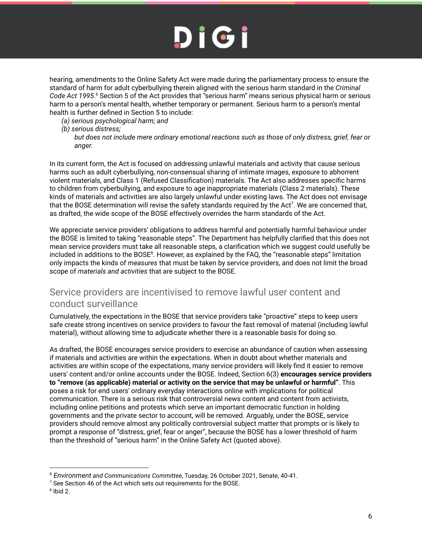hearing, amendments to the Online Safety Act were made during the parliamentary process to ensure the standard of harm for adult cyberbullying therein aligned with the serious harm standard in the *Criminal* Code Act 1995.<sup>6</sup> Section 5 of the Act provides that "serious harm" means serious physical harm or serious harm to a person's mental health, whether temporary or permanent. Serious harm to a person's mental health is further defined in Section 5 to include:

- *(a) serious psychological harm; and*
- *(b) serious distress;*

In its current form, the Act is focused on addressing unlawful materials and activity that cause serious harms such as adult cyberbullying, non-consensual sharing of intimate images, exposure to abhorrent violent materials, and Class 1 (Refused Classification) materials. The Act also addresses specific harms to children from cyberbullying, and exposure to age inappropriate materials (Class 2 materials). These kinds of materials and activities are also largely unlawful under existing laws. The Act does not envisage that the BOSE determination will revise the safety standards required by the Act<sup>7</sup>. We are concerned that, as drafted, the wide scope of the BOSE effectively overrides the harm standards of the Act.

We appreciate service providers' obligations to address harmful and potentially harmful behaviour under the BOSE is limited to taking "reasonable steps". The Department has helpfully clarified that this does not mean service providers must take all reasonable steps, a clarification which we suggest could usefully be included in additions to the BOSE<sup>8</sup>. However, as explained by the FAQ, the "reasonable steps" limitation only impacts the kinds of *measures* that must be taken by service providers, and does not limit the broad scope of *materials and activities* that are subject to the BOSE.

#### Service providers are incentivised to remove lawful user content and conduct surveillance

Cumulatively, the expectations in the BOSE that service providers take "proactive" steps to keep users safe create strong incentives on service providers to favour the fast removal of material (including lawful material), without allowing time to adjudicate whether there is a reasonable basis for doing so.

As drafted, the BOSE encourages service providers to exercise an abundance of caution when assessing if materials and activities are within the expectations. When in doubt about whether materials and activities are within scope of the expectations, many service providers will likely find it easier to remove users' content and/or online accounts under the BOSE. Indeed, Section 6(3) **encourages service providers to "remove (as applicable) material or activity on the service that may be unlawful or harmful"**. This poses a risk for end users' ordinary everyday interactions online with implications for political communication. There is a serious risk that controversial news content and content from activists, including online petitions and protests which serve an important democratic function in holding governments and the private sector to account, will be removed. Arguably, under the BOSE, service providers should remove almost any politically controversial subject matter that prompts or is likely to prompt a response of "distress, grief, fear or anger", because the BOSE has a lower threshold of harm than the threshold of "serious harm" in the Online Safety Act (quoted above).

*but does not include mere ordinary emotional reactions such as those of only distress, grief, fear or anger.*

<sup>6</sup> *Environment and Communications Committee*, Tuesday, 26 October 2021, Senate, 40-41.

 $7$  See Section 46 of the Act which sets out requirements for the BOSE.

<sup>8</sup> Ibid 2.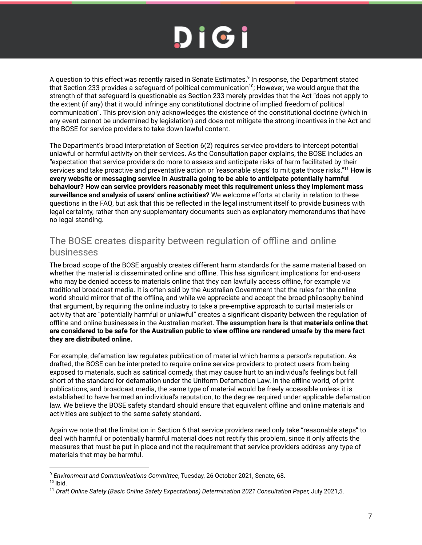A question to this effect was recently raised in Senate Estimates.<sup>9</sup> In response, the Department stated that Section 233 provides a safeguard of political communication<sup>10</sup>; However, we would argue that the strength of that safeguard is questionable as Section 233 merely provides that the Act "does not apply to the extent (if any) that it would infringe any constitutional doctrine of implied freedom of political communication". This provision only acknowledges the existence of the constitutional doctrine (which in any event cannot be undermined by legislation) and does not mitigate the strong incentives in the Act and the BOSE for service providers to take down lawful content.

The Department's broad interpretation of Section 6(2) requires service providers to intercept potential unlawful or harmful activity on their services. As the Consultation paper explains, the BOSE includes an "expectation that service providers do more to assess and anticipate risks of harm facilitated by their services and take proactive and preventative action or 'reasonable steps' to mitigate those risks."<sup>11</sup> **How is every website or messaging service in Australia going to be able to anticipate potentially harmful behaviour? How can service providers reasonably meet this requirement unless they implement mass surveillance and analysis of users' online activities?** We welcome efforts at clarity in relation to these questions in the FAQ, but ask that this be reflected in the legal instrument itself to provide business with legal certainty, rather than any supplementary documents such as explanatory memorandums that have no legal standing.

### The BOSE creates disparity between regulation of offline and online businesses

The broad scope of the BOSE arguably creates different harm standards for the same material based on whether the material is disseminated online and offline. This has significant implications for end-users who may be denied access to materials online that they can lawfully access offline, for example via traditional broadcast media. It is often said by the Australian Government that the rules for the online world should mirror that of the offline, and while we appreciate and accept the broad philosophy behind that argument, by requiring the online industry to take a pre-emptive approach to curtail materials or activity that are "potentially harmful or unlawful" creates a significant disparity between the regulation of offline and online businesses in the Australian market. **The assumption here is that materials online that are considered to be safe for the Australian public to view offline are rendered unsafe by the mere fact they are distributed online.**

For example, defamation law regulates publication of material which harms a person's reputation. As drafted, the BOSE can be interpreted to require online service providers to protect users from being exposed to materials, such as satirical comedy, that may cause hurt to an individual's feelings but fall short of the standard for defamation under the Uniform Defamation Law. In the offline world, of print publications, and broadcast media, the same type of material would be freely accessible unless it is established to have harmed an individual's reputation, to the degree required under applicable defamation law. We believe the BOSE safety standard should ensure that equivalent offline and online materials and activities are subject to the same safety standard.

Again we note that the limitation in Section 6 that service providers need only take "reasonable steps" to deal with harmful or potentially harmful material does not rectify this problem, since it only affects the measures that must be put in place and not the requirement that service providers address any type of materials that may be harmful.

<sup>9</sup> *Environment and Communications Committee*, Tuesday, 26 October 2021, Senate, 68.

 $10$  Ibid.

<sup>11</sup> *Draft Online Safety (Basic Online Safety Expectations) Determination 2021 Consultation Paper,* July 2021,5.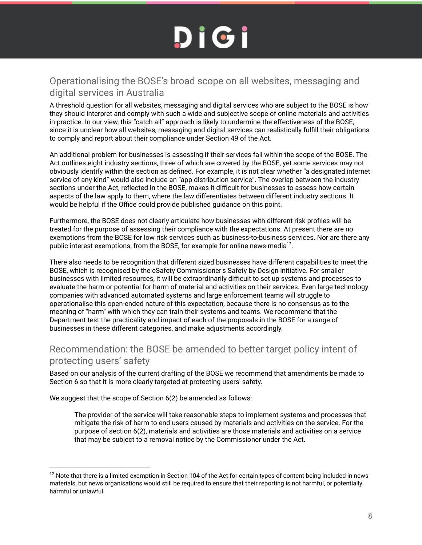### Operationalising the BOSE's broad scope on all websites, messaging and digital services in Australia

A threshold question for all websites, messaging and digital services who are subject to the BOSE is how they should interpret and comply with such a wide and subjective scope of online materials and activities in practice. In our view, this "catch all" approach is likely to undermine the effectiveness of the BOSE, since it is unclear how all websites, messaging and digital services can realistically fulfill their obligations to comply and report about their compliance under Section 49 of the Act.

An additional problem for businesses is assessing if their services fall within the scope of the BOSE. The Act outlines eight industry sections, three of which are covered by the BOSE, yet some services may not obviously identify within the section as defined. For example, it is not clear whether "a designated internet service of any kind" would also include an "app distribution service". The overlap between the industry sections under the Act, reflected in the BOSE, makes it difficult for businesses to assess how certain aspects of the law apply to them, where the law differentiates between different industry sections. It would be helpful if the Office could provide published guidance on this point.

Furthermore, the BOSE does not clearly articulate how businesses with different risk profiles will be treated for the purpose of assessing their compliance with the expectations. At present there are no exemptions from the BOSE for low risk services such as business-to-business services. Nor are there any public interest exemptions, from the BOSE, for example for online news media<sup>12</sup>.

There also needs to be recognition that different sized businesses have different capabilities to meet the BOSE, which is recognised by the eSafety Commissioner's Safety by Design initiative. For smaller businesses with limited resources, it will be extraordinarily difficult to set up systems and processes to evaluate the harm or potential for harm of material and activities on their services. Even large technology companies with advanced automated systems and large enforcement teams will struggle to operationalise this open-ended nature of this expectation, because there is no consensus as to the meaning of "harm" with which they can train their systems and teams. We recommend that the Department test the practicality and impact of each of the proposals in the BOSE for a range of businesses in these different categories, and make adjustments accordingly.

### Recommendation: the BOSE be amended to better target policy intent of protecting users' safety

Based on our analysis of the current drafting of the BOSE we recommend that amendments be made to Section 6 so that it is more clearly targeted at protecting users' safety.

We suggest that the scope of Section 6(2) be amended as follows:

The provider of the service will take reasonable steps to implement systems and processes that mitigate the risk of harm to end users caused by materials and activities on the service. For the purpose of section 6(2), materials and activities are those materials and activities on a service that may be subject to a removal notice by the Commissioner under the Act.

 $12$  Note that there is a limited exemption in Section 104 of the Act for certain types of content being included in news materials, but news organisations would still be required to ensure that their reporting is not harmful, or potentially harmful or unlawful.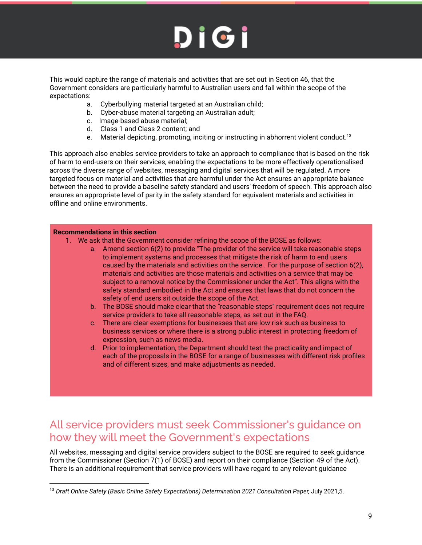This would capture the range of materials and activities that are set out in Section 46, that the Government considers are particularly harmful to Australian users and fall within the scope of the expectations:

- a. Cyberbullying material targeted at an Australian child;
- b. Cyber-abuse material targeting an Australian adult;
- c. Image-based abuse material;
- d. Class 1 and Class 2 content; and
- e. Material depicting, promoting, inciting or instructing in abhorrent violent conduct.<sup>13</sup>

This approach also enables service providers to take an approach to compliance that is based on the risk of harm to end-users on their services, enabling the expectations to be more effectively operationalised across the diverse range of websites, messaging and digital services that will be regulated. A more targeted focus on material and activities that are harmful under the Act ensures an appropriate balance between the need to provide a baseline safety standard and users' freedom of speech. This approach also ensures an appropriate level of parity in the safety standard for equivalent materials and activities in offline and online environments.

#### **Recommendations in this section**

- 1. We ask that the Government consider refining the scope of the BOSE as follows:
	- a. Amend section 6(2) to provide "The provider of the service will take reasonable steps to implement systems and processes that mitigate the risk of harm to end users caused by the materials and activities on the service . For the purpose of section 6(2), materials and activities are those materials and activities on a service that may be subject to a removal notice by the Commissioner under the Act". This aligns with the safety standard embodied in the Act and ensures that laws that do not concern the safety of end users sit outside the scope of the Act.
	- b. The BOSE should make clear that the "reasonable steps'' requirement does not require service providers to take all reasonable steps, as set out in the FAQ.
	- c. There are clear exemptions for businesses that are low risk such as business to business services or where there is a strong public interest in protecting freedom of expression, such as news media.
	- d. Prior to implementation, the Department should test the practicality and impact of each of the proposals in the BOSE for a range of businesses with different risk profiles and of different sizes, and make adjustments as needed.

### All service providers must seek Commissioner's guidance on how they will meet the Government's expectations

All websites, messaging and digital service providers subject to the BOSE are required to seek guidance from the Commissioner (Section 7(1) of BOSE) and report on their compliance (Section 49 of the Act). There is an additional requirement that service providers will have regard to any relevant guidance

<sup>13</sup> *Draft Online Safety (Basic Online Safety Expectations) Determination 2021 Consultation Paper,* July 2021,5.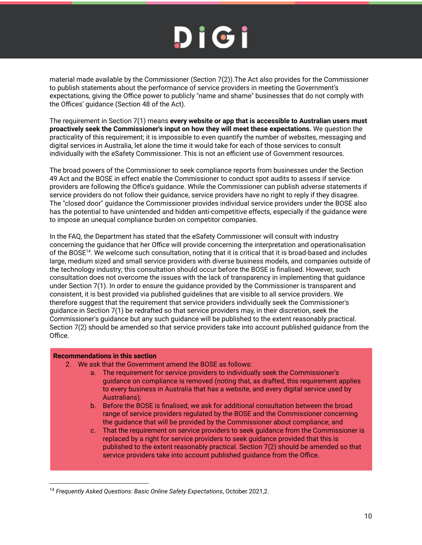material made available by the Commissioner (Section 7(2)).The Act also provides for the Commissioner to publish statements about the performance of service providers in meeting the Government's expectations, giving the Office power to publicly "name and shame" businesses that do not comply with the Offices' guidance (Section 48 of the Act).

The requirement in Section 7(1) means **every website or app that is accessible to Australian users must proactively seek the Commissioner's input on how they will meet these expectations.** We question the practicality of this requirement; it is impossible to even quantify the number of websites, messaging and digital services in Australia, let alone the time it would take for each of those services to consult individually with the eSafety Commissioner. This is not an efficient use of Government resources.

The broad powers of the Commissioner to seek compliance reports from businesses under the Section 49 Act and the BOSE in effect enable the Commissioner to conduct spot audits to assess if service providers are following the Office's guidance. While the Commissioner can publish adverse statements if service providers do not follow their guidance, service providers have no right to reply if they disagree. The "closed door" guidance the Commissioner provides individual service providers under the BOSE also has the potential to have unintended and hidden anti-competitive effects, especially if the guidance were to impose an unequal compliance burden on competitor companies.

In the FAQ, the Department has stated that the eSafety Commissioner will consult with industry concerning the guidance that her Office will provide concerning the interpretation and operationalisation of the BOSE<sup>14</sup>. We welcome such consultation, noting that it is critical that it is broad-based and includes large, medium sized and small service providers with diverse business models, and companies outside of the technology industry; this consultation should occur before the BOSE is finalised. However, such consultation does not overcome the issues with the lack of transparency in implementing that guidance under Section 7(1). In order to ensure the guidance provided by the Commissioner is transparent and consistent, it is best provided via published guidelines that are visible to all service providers. We therefore suggest that the requirement that service providers individually seek the Commissioner's guidance in Section 7(1) be redrafted so that service providers may, in their discretion, seek the Commissioner's guidance but any such guidance will be published to the extent reasonably practical. Section 7(2) should be amended so that service providers take into account published guidance from the Office.

#### **Recommendations in this section**

- 2. We ask that the Government amend the BOSE as follows:
	- a. The requirement for service providers to individually seek the Commissioner's guidance on compliance is removed (noting that, as drafted, this requirement applies to every business in Australia that has a website, and every digital service used by Australians);
	- b. Before the BOSE is finalised, we ask for additional consultation between the broad range of service providers regulated by the BOSE and the Commissioner concerning the guidance that will be provided by the Commissioner about compliance; and
	- c. That the requirement on service providers to seek guidance from the Commissioner is replaced by a right for service providers to seek guidance provided that this is published to the extent reasonably practical. Section 7(2) should be amended so that service providers take into account published guidance from the Office.

<sup>&</sup>lt;sup>14</sup> Frequently Asked Questions: Basic Online Safety Expectations, October 2021,2.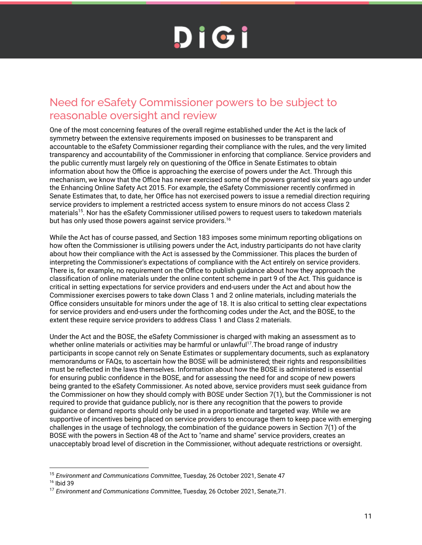### Need for eSafety Commissioner powers to be subject to reasonable oversight and review

One of the most concerning features of the overall regime established under the Act is the lack of symmetry between the extensive requirements imposed on businesses to be transparent and accountable to the eSafety Commissioner regarding their compliance with the rules, and the very limited transparency and accountability of the Commissioner in enforcing that compliance. Service providers and the public currently must largely rely on questioning of the Office in Senate Estimates to obtain information about how the Office is approaching the exercise of powers under the Act. Through this mechanism, we know that the Office has never exercised some of the powers granted six years ago under the Enhancing Online Safety Act 2015. For example, the eSafety Commissioner recently confirmed in Senate Estimates that, to date, her Office has not exercised powers to issue a remedial direction requiring service providers to implement a restricted access system to ensure minors do not access Class 2 materials<sup>15</sup>. Nor has the eSafety Commissioner utilised powers to request users to takedown materials but has only used those powers against service providers.<sup>16</sup>

While the Act has of course passed, and Section 183 imposes some minimum reporting obligations on how often the Commissioner is utilising powers under the Act, industry participants do not have clarity about how their compliance with the Act is assessed by the Commissioner. This places the burden of interpreting the Commissioner's expectations of compliance with the Act entirely on service providers. There is, for example, no requirement on the Office to publish guidance about how they approach the classification of online materials under the online content scheme in part 9 of the Act. This guidance is critical in setting expectations for service providers and end-users under the Act and about how the Commissioner exercises powers to take down Class 1 and 2 online materials, including materials the Office considers unsuitable for minors under the age of 18. It is also critical to setting clear expectations for service providers and end-users under the forthcoming codes under the Act, and the BOSE, to the extent these require service providers to address Class 1 and Class 2 materials.

Under the Act and the BOSE, the eSafety Commissioner is charged with making an assessment as to whether online materials or activities may be harmful or unlawful<sup>17</sup>. The broad range of industry participants in scope cannot rely on Senate Estimates or supplementary documents, such as explanatory memorandums or FAQs, to ascertain how the BOSE will be administered; their rights and responsibilities must be reflected in the laws themselves. Information about how the BOSE is administered is essential for ensuring public confidence in the BOSE, and for assessing the need for and scope of new powers being granted to the eSafety Commissioner. As noted above, service providers must seek guidance from the Commissioner on how they should comply with BOSE under Section 7(1), but the Commissioner is not required to provide that guidance publicly, nor is there any recognition that the powers to provide guidance or demand reports should only be used in a proportionate and targeted way. While we are supportive of incentives being placed on service providers to encourage them to keep pace with emerging challenges in the usage of technology, the combination of the guidance powers in Section 7(1) of the BOSE with the powers in Section 48 of the Act to "name and shame" service providers, creates an unacceptably broad level of discretion in the Commissioner, without adequate restrictions or oversight.

<sup>15</sup> *Environment and Communications Committee*, Tuesday, 26 October 2021, Senate 47

<sup>16</sup> Ibid 39

<sup>17</sup> *Environment and Communications Committee*, Tuesday, 26 October 2021, Senate,71.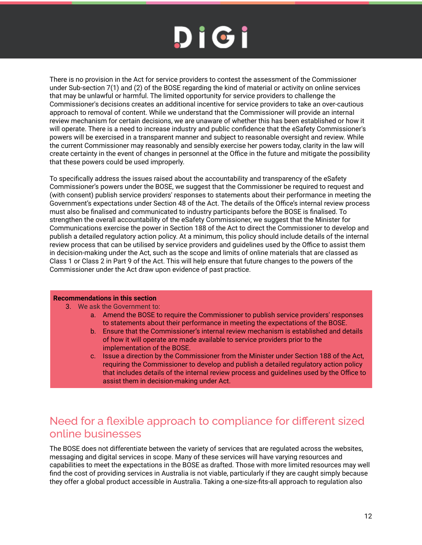There is no provision in the Act for service providers to contest the assessment of the Commissioner under Sub-section 7(1) and (2) of the BOSE regarding the kind of material or activity on online services that may be unlawful or harmful. The limited opportunity for service providers to challenge the Commissioner's decisions creates an additional incentive for service providers to take an over-cautious approach to removal of content. While we understand that the Commissioner will provide an internal review mechanism for certain decisions, we are unaware of whether this has been established or how it will operate. There is a need to increase industry and public confidence that the eSafety Commissioner's powers will be exercised in a transparent manner and subject to reasonable oversight and review. While the current Commissioner may reasonably and sensibly exercise her powers today, clarity in the law will create certainty in the event of changes in personnel at the Office in the future and mitigate the possibility that these powers could be used improperly.

To specifically address the issues raised about the accountability and transparency of the eSafety Commissioner's powers under the BOSE, we suggest that the Commissioner be required to request and (with consent) publish service providers' responses to statements about their performance in meeting the Government's expectations under Section 48 of the Act. The details of the Office's internal review process must also be finalised and communicated to industry participants before the BOSE is finalised. To strengthen the overall accountability of the eSafety Commissioner, we suggest that the Minister for Communications exercise the power in Section 188 of the Act to direct the Commissioner to develop and publish a detailed regulatory action policy. At a minimum, this policy should include details of the internal review process that can be utilised by service providers and guidelines used by the Office to assist them in decision-making under the Act, such as the scope and limits of online materials that are classed as Class 1 or Class 2 in Part 9 of the Act. This will help ensure that future changes to the powers of the Commissioner under the Act draw upon evidence of past practice.

#### **Recommendations in this section**

- 3. We ask the Government to:
	- a. Amend the BOSE to require the Commissioner to publish service providers' responses to statements about their performance in meeting the expectations of the BOSE.
	- b. Ensure that the Commissioner's internal review mechanism is established and details of how it will operate are made available to service providers prior to the implementation of the BOSE.
	- c. Issue a direction by the Commissioner from the Minister under Section 188 of the Act, requiring the Commissioner to develop and publish a detailed regulatory action policy that includes details of the internal review process and guidelines used by the Office to assist them in decision-making under Act.

### Need for a flexible approach to compliance for different sized online businesses

The BOSE does not differentiate between the variety of services that are regulated across the websites, messaging and digital services in scope. Many of these services will have varying resources and capabilities to meet the expectations in the BOSE as drafted. Those with more limited resources may well find the cost of providing services in Australia is not viable, particularly if they are caught simply because they offer a global product accessible in Australia. Taking a one-size-fits-all approach to regulation also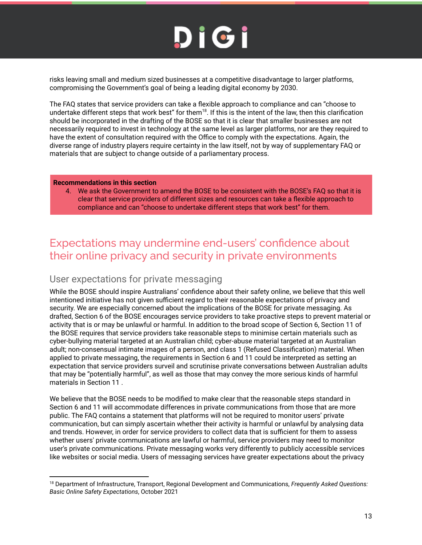risks leaving small and medium sized businesses at a competitive disadvantage to larger platforms, compromising the Government's goal of being a leading digital economy by 2030.

The FAQ states that service providers can take a flexible approach to compliance and can "choose to undertake different steps that work best" for them<sup>18</sup>. If this is the intent of the law, then this clarification should be incorporated in the drafting of the BOSE so that it is clear that smaller businesses are not necessarily required to invest in technology at the same level as larger platforms, nor are they required to have the extent of consultation required with the Office to comply with the expectations. Again, the diverse range of industry players require certainty in the law itself, not by way of supplementary FAQ or materials that are subject to change outside of a parliamentary process.

#### **Recommendations in this section**

4. We ask the Government to amend the BOSE to be consistent with the BOSE's FAQ so that it is clear that service providers of different sizes and resources can take a flexible approach to compliance and can "choose to undertake different steps that work best" for them.

### Expectations may undermine end-users' confidence about their online privacy and security in private environments

### User expectations for private messaging

While the BOSE should inspire Australians' confidence about their safety online, we believe that this well intentioned initiative has not given sufficient regard to their reasonable expectations of privacy and security. We are especially concerned about the implications of the BOSE for private messaging. As drafted, Section 6 of the BOSE encourages service providers to take proactive steps to prevent material or activity that is or may be unlawful or harmful. In addition to the broad scope of Section 6, Section 11 of the BOSE requires that service providers take reasonable steps to minimise certain materials such as cyber-bullying material targeted at an Australian child; cyber-abuse material targeted at an Australian adult; non-consensual intimate images of a person, and class 1 (Refused Classification) material. When applied to private messaging, the requirements in Section 6 and 11 could be interpreted as setting an expectation that service providers surveil and scrutinise private conversations between Australian adults that may be "potentially harmful", as well as those that may convey the more serious kinds of harmful materials in Section 11 .

We believe that the BOSE needs to be modified to make clear that the reasonable steps standard in Section 6 and 11 will accommodate differences in private communications from those that are more public. The FAQ contains a statement that platforms will not be required to monitor users' private communication, but can simply ascertain whether their activity is harmful or unlawful by analysing data and trends. However, in order for service providers to collect data that is sufficient for them to assess whether users' private communications are lawful or harmful, service providers may need to monitor user's private communications. Private messaging works very differently to publicly accessible services like websites or social media. Users of messaging services have greater expectations about the privacy

<sup>18</sup> Department of Infrastructure, Transport, Regional Development and Communications, *Frequently Asked Questions: Basic Online Safety Expectations*, October 2021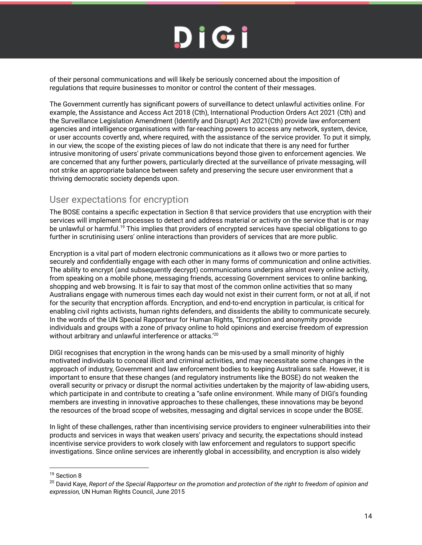of their personal communications and will likely be seriously concerned about the imposition of regulations that require businesses to monitor or control the content of their messages.

The Government currently has significant powers of surveillance to detect unlawful activities online. For example, the Assistance and Access Act 2018 (Cth), International Production Orders Act 2021 (Cth) and the Surveillance Legislation Amendment (Identify and Disrupt) Act 2021(Cth) provide law enforcement agencies and intelligence organisations with far-reaching powers to access any network, system, device, or user accounts covertly and, where required, with the assistance of the service provider. To put it simply, in our view, the scope of the existing pieces of law do not indicate that there is any need for further intrusive monitoring of users' private communications beyond those given to enforcement agencies. We are concerned that any further powers, particularly directed at the surveillance of private messaging, will not strike an appropriate balance between safety and preserving the secure user environment that a thriving democratic society depends upon.

### User expectations for encryption

The BOSE contains a specific expectation in Section 8 that service providers that use encryption with their services will implement processes to detect and address material or activity on the service that is or may be unlawful or harmful.<sup>19</sup> This implies that providers of encrypted services have special obligations to go further in scrutinising users' online interactions than providers of services that are more public.

Encryption is a vital part of modern electronic communications as it allows two or more parties to securely and confidentially engage with each other in many forms of communication and online activities. The ability to encrypt (and subsequently decrypt) communications underpins almost every online activity, from speaking on a mobile phone, messaging friends, accessing Government services to online banking, shopping and web browsing. It is fair to say that most of the common online activities that so many Australians engage with numerous times each day would not exist in their current form, or not at all, if not for the security that encryption affords. Encryption, and end-to-end encryption in particular, is critical for enabling civil rights activists, human rights defenders, and dissidents the ability to communicate securely. In the words of the UN Special Rapporteur for Human Rights, "Encryption and anonymity provide individuals and groups with a zone of privacy online to hold opinions and exercise freedom of expression without arbitrary and unlawful interference or attacks.<sup>'20</sup>

DIGI recognises that encryption in the wrong hands can be mis-used by a small minority of highly motivated individuals to conceal illicit and criminal activities, and may necessitate some changes in the approach of industry, Government and law enforcement bodies to keeping Australians safe. However, it is important to ensure that these changes (and regulatory instruments like the BOSE) do not weaken the overall security or privacy or disrupt the normal activities undertaken by the majority of law-abiding users, which participate in and contribute to creating a "safe online environment. While many of DIGI's founding members are investing in innovative approaches to these challenges, these innovations may be beyond the resources of the broad scope of websites, messaging and digital services in scope under the BOSE.

In light of these challenges, rather than incentivising service providers to engineer vulnerabilities into their products and services in ways that weaken users' privacy and security, the expectations should instead incentivise service providers to work closely with law enforcement and regulators to support specific investigations. Since online services are inherently global in accessibility, and encryption is also widely

<sup>&</sup>lt;sup>19</sup> Section 8

<sup>20</sup> David Kaye, *Report of the Special Rapporteur on the promotion and protection of the right to freedom of opinion and expression,* UN Human Rights Council, June 2015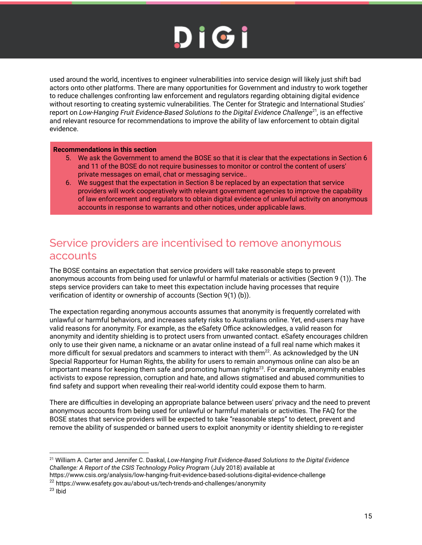used around the world, incentives to engineer vulnerabilities into service design will likely just shift bad actors onto other platforms. There are many opportunities for Government and industry to work together to reduce challenges confronting law enforcement and regulators regarding obtaining digital evidence without resorting to creating systemic vulnerabilities. The Center for Strategic and International Studies' report on *Low-Hanging Fruit Evidence-Based Solutions to the Digital Evidence Challenge*<sup>21</sup> *,* is an effective and relevant resource for recommendations to improve the ability of law enforcement to obtain digital evidence.

#### **Recommendations in this section**

- 5. We ask the Government to amend the BOSE so that it is clear that the expectations in Section 6 and 11 of the BOSE do not require businesses to monitor or control the content of users' private messages on email, chat or messaging service..
- 6. We suggest that the expectation in Section 8 be replaced by an expectation that service providers will work cooperatively with relevant government agencies to improve the capability of law enforcement and regulators to obtain digital evidence of unlawful activity on anonymous accounts in response to warrants and other notices, under applicable laws.

### Service providers are incentivised to remove anonymous accounts

The BOSE contains an expectation that service providers will take reasonable steps to prevent anonymous accounts from being used for unlawful or harmful materials or activities (Section 9 (1)). The steps service providers can take to meet this expectation include having processes that require verification of identity or ownership of accounts (Section 9(1) (b)).

The expectation regarding anonymous accounts assumes that anonymity is frequently correlated with unlawful or harmful behaviors, and increases safety risks to Australians online. Yet, end-users may have valid reasons for anonymity. For example, as the eSafety Office acknowledges, a valid reason for anonymity and identity shielding is to protect users from unwanted contact. eSafety encourages children only to use their given name, a nickname or an avatar online instead of a full real name which makes it more difficult for sexual predators and scammers to interact with them<sup>22</sup>. As acknowledged by the UN Special Rapporteur for Human Rights, the ability for users to remain anonymous online can also be an important means for keeping them safe and promoting human rights<sup>23</sup>. For example, anonymity enables activists to expose repression, corruption and hate, and allows stigmatised and abused communities to find safety and support when revealing their real-world identity could expose them to harm.

There are difficulties in developing an appropriate balance between users' privacy and the need to prevent anonymous accounts from being used for unlawful or harmful materials or activities. The FAQ for the BOSE states that service providers will be expected to take "reasonable steps" to detect, prevent and remove the ability of suspended or banned users to exploit anonymity or identity shielding to re-register

<sup>21</sup> William A. Carter and Jennifer C. Daskal, *Low-Hanging Fruit Evidence-Based Solutions to the Digital Evidence Challenge: A Report of the CSIS Technology Policy Program* (July 2018) *a*vailable at

https://www.csis.org/analysis/low-hanging-fruit-evidence-based-solutions-digital-evidence-challenge

<sup>22</sup> https://www.esafety.gov.au/about-us/tech-trends-and-challenges/anonymity

<sup>23</sup> Ibid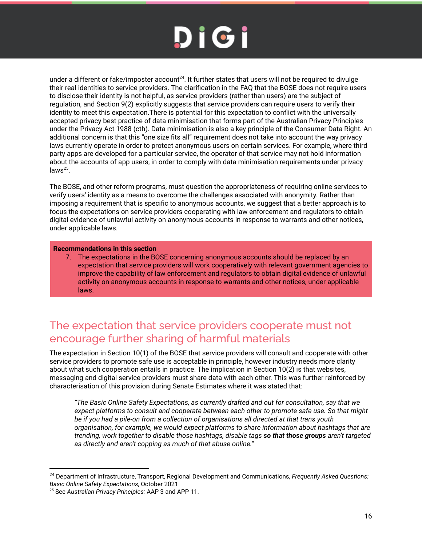under a different or fake/imposter account<sup>24</sup>. It further states that users will not be required to divulge their real identities to service providers. The clarification in the FAQ that the BOSE does not require users to disclose their identity is not helpful, as service providers (rather than users) are the subject of regulation, and Section 9(2) explicitly suggests that service providers can require users to verify their identity to meet this expectation.There is potential for this expectation to conflict with the universally accepted privacy best practice of data minimisation that forms part of the Australian Privacy Principles under the Privacy Act 1988 (cth). Data minimisation is also a key principle of the Consumer Data Right. An additional concern is that this "one size fits all" requirement does not take into account the way privacy laws currently operate in order to protect anonymous users on certain services. For example, where third party apps are developed for a particular service, the operator of that service may not hold information about the accounts of app users, in order to comply with data minimisation requirements under privacy  $laws<sup>25</sup>$ .

The BOSE, and other reform programs, must question the appropriateness of requiring online services to verify users' identity as a means to overcome the challenges associated with anonymity. Rather than imposing a requirement that is specific to anonymous accounts, we suggest that a better approach is to focus the expectations on service providers cooperating with law enforcement and regulators to obtain digital evidence of unlawful activity on anonymous accounts in response to warrants and other notices, under applicable laws.

#### **Recommendations in this section**

7. The expectations in the BOSE concerning anonymous accounts should be replaced by an expectation that service providers will work cooperatively with relevant government agencies to improve the capability of law enforcement and regulators to obtain digital evidence of unlawful activity on anonymous accounts in response to warrants and other notices, under applicable laws.

### The expectation that service providers cooperate must not encourage further sharing of harmful materials

The expectation in Section 10(1) of the BOSE that service providers will consult and cooperate with other service providers to promote safe use is acceptable in principle, however industry needs more clarity about what such cooperation entails in practice. The implication in Section 10(2) is that websites, messaging and digital service providers must share data with each other. This was further reinforced by characterisation of this provision during Senate Estimates where it was stated that:

*"The Basic Online Safety Expectations, as currently drafted and out for consultation, say that we expect platforms to consult and cooperate between each other to promote safe use. So that might be if you had a pile-on from a collection of organisations all directed at that trans youth organisation, for example, we would expect platforms to share information about hashtags that are trending, work together to disable those hashtags, disable tags so that those groups aren't targeted as directly and aren't copping as much of that abuse online."*

<sup>24</sup> Department of Infrastructure, Transport, Regional Development and Communications, *Frequently Asked Questions: Basic Online Safety Expectations*, October 2021

<sup>25</sup> See *Australian Privacy Principles:* AAP 3 and APP 11.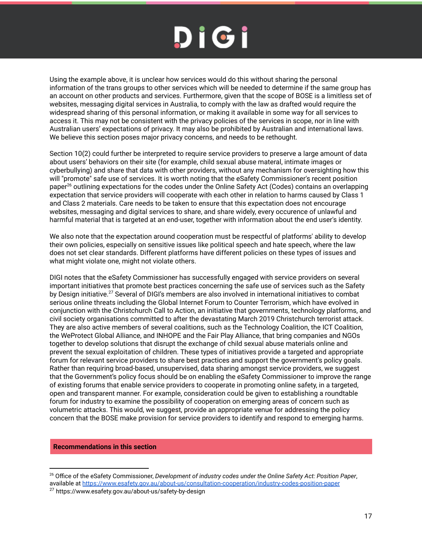Using the example above, it is unclear how services would do this without sharing the personal information of the trans groups to other services which will be needed to determine if the same group has an account on other products and services. Furthermore, given that the scope of BOSE is a limitless set of websites, messaging digital services in Australia, to comply with the law as drafted would require the widespread sharing of this personal information, or making it available in some way for all services to access it. This may not be consistent with the privacy policies of the services in scope, nor in line with Australian users' expectations of privacy. It may also be prohibited by Australian and international laws. We believe this section poses major privacy concerns, and needs to be rethought.

Section 10(2) could further be interpreted to require service providers to preserve a large amount of data about users' behaviors on their site (for example, child sexual abuse materal, intimate images or cyberbullying) and share that data with other providers, without any mechanism for oversighting how this will "promote" safe use of services. It is worth noting that the eSafety Commissioner's recent position paper<sup>26</sup> outlining expectations for the codes under the Online Safety Act (Codes) contains an overlapping expectation that service providers will cooperate with each other in relation to harms caused by Class 1 and Class 2 materials. Care needs to be taken to ensure that this expectation does not encourage websites, messaging and digital services to share, and share widely, every occurence of unlawful and harmful material that is targeted at an end-user, together with information about the end user's identity.

We also note that the expectation around cooperation must be respectful of platforms' ability to develop their own policies, especially on sensitive issues like political speech and hate speech, where the law does not set clear standards. Different platforms have different policies on these types of issues and what might violate one, might not violate others.

DIGI notes that the eSafety Commissioner has successfully engaged with service providers on several important initiatives that promote best practices concerning the safe use of services such as the Safety by Design initiative.<sup>27</sup> Several of DIGI's members are also involved in international initiatives to combat serious online threats including the Global Internet Forum to Counter Terrorism, which have evolved in conjunction with the Christchurch Call to Action, an initiative that governments, technology platforms, and civil society organisations committed to after the devastating March 2019 Christchurch terrorist attack. They are also active members of several coalitions, such as the Technology Coalition, the ICT Coalition, the WeProtect Global Alliance, and INHOPE and the Fair Play Alliance, that bring companies and NGOs together to develop solutions that disrupt the exchange of child sexual abuse materials online and prevent the sexual exploitation of children. These types of initiatives provide a targeted and appropriate forum for relevant service providers to share best practices and support the government's policy goals. Rather than requiring broad-based, unsupervised, data sharing amongst service providers, we suggest that the Government's policy focus should be on enabling the eSafety Commissioner to improve the range of existing forums that enable service providers to cooperate in promoting online safety, in a targeted, open and transparent manner. For example, consideration could be given to establishing a roundtable forum for industry to examine the possibility of cooperation on emerging areas of concern such as volumetric attacks. This would, we suggest, provide an appropriate venue for addressing the policy concern that the BOSE make provision for service providers to identify and respond to emerging harms.

**Recommendations in this section**

<sup>26</sup> Office of the eSafety Commissioner, *Development of industry codes under the Online Safety Act: Position Paper*, available at https://www.esafety.gov.au/about-us/consultation-cooperation/industry-codes-position-paper

<sup>27</sup> https://www.esafety.gov.au/about-us/safety-by-design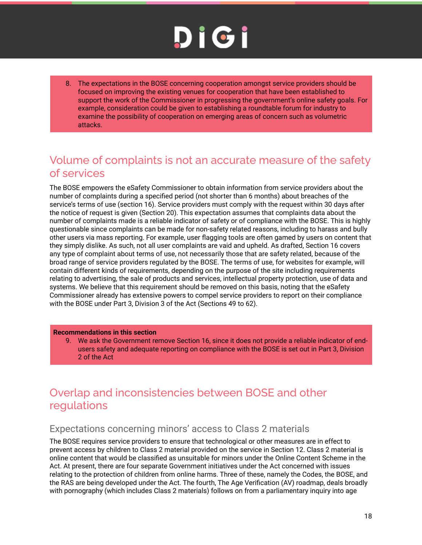8. The expectations in the BOSE concerning cooperation amongst service providers should be focused on improving the existing venues for cooperation that have been established to support the work of the Commissioner in progressing the government's online safety goals. For example, consideration could be given to establishing a roundtable forum for industry to examine the possibility of cooperation on emerging areas of concern such as volumetric attacks.

### Volume of complaints is not an accurate measure of the safety of services

The BOSE empowers the eSafety Commissioner to obtain information from service providers about the number of complaints during a specified period (not shorter than 6 months) about breaches of the service's terms of use (section 16). Service providers must comply with the request within 30 days after the notice of request is given (Section 20). This expectation assumes that complaints data about the number of complaints made is a reliable indicator of safety or of compliance with the BOSE. This is highly questionable since complaints can be made for non-safety related reasons, including to harass and bully other users via mass reporting. For example, user flagging tools are often gamed by users on content that they simply dislike. As such, not all user complaints are vaid and upheld. As drafted, Section 16 covers any type of complaint about terms of use, not necessarily those that are safety related, because of the broad range of service providers regulated by the BOSE. The terms of use, for websites for example, will contain different kinds of requirements, depending on the purpose of the site including requirements relating to advertising, the sale of products and services, intellectual property protection, use of data and systems. We believe that this requirement should be removed on this basis, noting that the eSafety Commissioner already has extensive powers to compel service providers to report on their compliance with the BOSE under Part 3, Division 3 of the Act (Sections 49 to 62).

#### **Recommendations in this section**

9. We ask the Government remove Section 16, since it does not provide a reliable indicator of endusers safety and adequate reporting on compliance with the BOSE is set out in Part 3, Division 2 of the Act

### Overlap and inconsistencies between BOSE and other regulations

### Expectations concerning minors' access to Class 2 materials

The BOSE requires service providers to ensure that technological or other measures are in effect to prevent access by children to Class 2 material provided on the service in Section 12. Class 2 material is online content that would be classified as unsuitable for minors under the Online Content Scheme in the Act. At present, there are four separate Government initiatives under the Act concerned with issues relating to the protection of children from online harms. Three of these, namely the Codes, the BOSE, and the RAS are being developed under the Act. The fourth, The Age Verification (AV) roadmap, deals broadly with pornography (which includes Class 2 materials) follows on from a parliamentary inquiry into age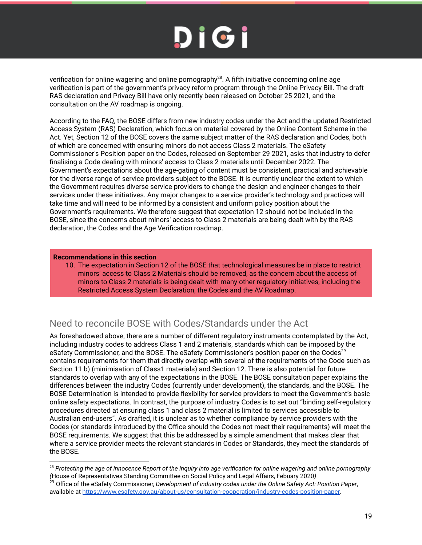verification for online wagering and online pornography<sup>28</sup>. A fifth initiative concerning online age verification is part of the government's privacy reform program through the Online Privacy Bill. The draft RAS declaration and Privacy Bill have only recently been released on October 25 2021, and the consultation on the AV roadmap is ongoing.

According to the FAQ, the BOSE differs from new industry codes under the Act and the updated Restricted Access System (RAS) Declaration, which focus on material covered by the Online Content Scheme in the Act. Yet, Section 12 of the BOSE covers the same subject matter of the RAS declaration and Codes, both of which are concerned with ensuring minors do not access Class 2 materials. The eSafety Commissioner's Position paper on the Codes, released on September 29 2021, asks that industry to defer finalising a Code dealing with minors' access to Class 2 materials until December 2022. The Government's expectations about the age-gating of content must be consistent, practical and achievable for the diverse range of service providers subject to the BOSE. It is currently unclear the extent to which the Government requires diverse service providers to change the design and engineer changes to their services under these initiatives. Any major changes to a service provider's technology and practices will take time and will need to be informed by a consistent and uniform policy position about the Government's requirements. We therefore suggest that expectation 12 should not be included in the BOSE, since the concerns about minors' access to Class 2 materials are being dealt with by the RAS declaration, the Codes and the Age Verification roadmap.

#### **Recommendations in this section**

10. The expectation in Section 12 of the BOSE that technological measures be in place to restrict minors' access to Class 2 Materials should be removed, as the concern about the access of minors to Class 2 materials is being dealt with many other regulatory initiatives, including the Restricted Access System Declaration, the Codes and the AV Roadmap.

### Need to reconcile BOSE with Codes/Standards under the Act

As foreshadowed above, there are a number of different regulatory instruments contemplated by the Act, including industry codes to address Class 1 and 2 materials, standards which can be imposed by the eSafety Commissioner, and the BOSE. The eSafety Commissioner's position paper on the Codes<sup>29</sup> contains requirements for them that directly overlap with several of the requirements of the Code such as Section 11 b) (minimisation of Class1 materials) and Section 12. There is also potential for future standards to overlap with any of the expectations in the BOSE. The BOSE consultation paper explains the differences between the industry Codes (currently under development), the standards, and the BOSE. The BOSE Determination is intended to provide flexibility for service providers to meet the Government's basic online safety expectations. In contrast, the purpose of industry Codes is to set out "binding self-regulatory procedures directed at ensuring class 1 and class 2 material is limited to services accessible to Australian end-users". As drafted, it is unclear as to whether compliance by service providers with the Codes (or standards introduced by the Office should the Codes not meet their requirements) will meet the BOSE requirements. We suggest that this be addressed by a simple amendment that makes clear that where a service provider meets the relevant standards in Codes or Standards, they meet the standards of the BOSE.

<sup>28</sup> *Protecting the age of innocence Report of the inquiry into age verification for online wagering and online pornography (*House of Representatives Standing Committee on Social Policy and Legal Affairs, Febuary 2020*)*

<sup>29</sup> Office of the eSafety Commissioner, *Development of industry codes under the Online Safety Act: Position Paper*, available at https://www.esafety.gov.au/about-us/consultation-cooperation/industry-codes-position-paper.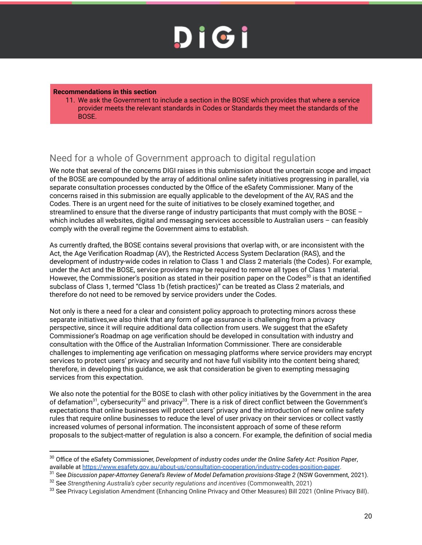#### **Recommendations in this section**

11. We ask the Government to include a section in the BOSE which provides that where a service provider meets the relevant standards in Codes or Standards they meet the standards of the BOSE.

### Need for a whole of Government approach to digital regulation

We note that several of the concerns DIGI raises in this submission about the uncertain scope and impact of the BOSE are compounded by the array of additional online safety initiatives progressing in parallel, via separate consultation processes conducted by the Office of the eSafety Commissioner. Many of the concerns raised in this submission are equally applicable to the development of the AV, RAS and the Codes. There is an urgent need for the suite of initiatives to be closely examined together, and streamlined to ensure that the diverse range of industry participants that must comply with the BOSE – which includes all websites, digital and messaging services accessible to Australian users - can feasibly comply with the overall regime the Government aims to establish.

As currently drafted, the BOSE contains several provisions that overlap with, or are inconsistent with the Act, the Age Verification Roadmap (AV), the Restricted Access System Declaration (RAS), and the development of industry-wide codes in relation to Class 1 and Class 2 materials (the Codes). For example, under the Act and the BOSE, service providers may be required to remove all types of Class 1 material. However, the Commissioner's position as stated in their position paper on the Codes<sup>30</sup> is that an identified subclass of Class 1, termed "Class 1b (fetish practices)" can be treated as Class 2 materials, and therefore do not need to be removed by service providers under the Codes.

Not only is there a need for a clear and consistent policy approach to protecting minors across these separate initiatives,we also think that any form of age assurance is challenging from a privacy perspective, since it will require additional data collection from users. We suggest that the eSafety Commissioner's Roadmap on age verification should be developed in consultation with industry and consultation with the Office of the Australian Information Commissioner. There are considerable challenges to implementing age verification on messaging platforms where service providers may encrypt services to protect users' privacy and security and not have full visibility into the content being shared; therefore, in developing this guidance, we ask that consideration be given to exempting messaging services from this expectation.

We also note the potential for the BOSE to clash with other policy initiatives by the Government in the area of defamation<sup>31</sup>, cybersecurity<sup>32</sup> and privacy<sup>33</sup>. There is a risk of direct conflict between the Government's expectations that online businesses will protect users' privacy and the introduction of new online safety rules that require online businesses to reduce the level of user privacy on their services or collect vastly increased volumes of personal information. The inconsistent approach of some of these reform proposals to the subject-matter of regulation is also a concern. For example, the definition of social media

<sup>30</sup> Office of the eSafety Commissioner, *Development of industry codes under the Online Safety Act: Position Paper*, available at https://www.esafety.gov.au/about-us/consultation-cooperation/industry-codes-position-paper.

<sup>31</sup> See *Discussion paper-Attorney General's Review of Model Defamation provisions-Stage 2* (NSW Government, 2021).

<sup>32</sup> See *Strengthening Australia's cyber security regulations and incentives* (Commonwealth, 2021)

<sup>33</sup> See Privacy Legislation Amendment (Enhancing Online Privacy and Other Measures) Bill 2021 (Online Privacy Bill).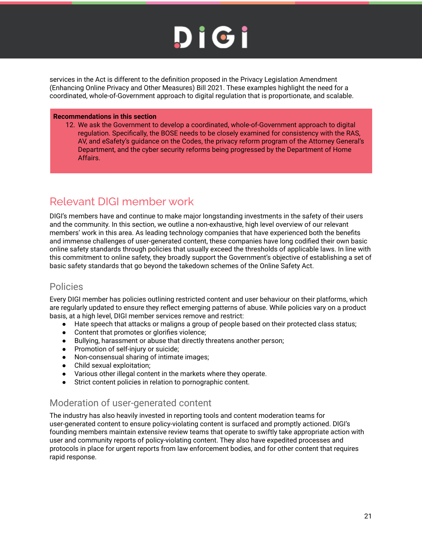services in the Act is different to the definition proposed in the Privacy Legislation Amendment (Enhancing Online Privacy and Other Measures) Bill 2021. These examples highlight the need for a coordinated, whole-of-Government approach to digital regulation that is proportionate, and scalable.

#### **Recommendations in this section**

12. We ask the Government to develop a coordinated, whole-of-Government approach to digital regulation. Specifically, the BOSE needs to be closely examined for consistency with the RAS, AV, and eSafety's guidance on the Codes, the privacy reform program of the Attorney General's Department, and the cyber security reforms being progressed by the Department of Home Affairs.

### Relevant DIGI member work

DIGI's members have and continue to make major longstanding investments in the safety of their users and the community. In this section, we outline a non-exhaustive, high level overview of our relevant members' work in this area. As leading technology companies that have experienced both the benefits and immense challenges of user-generated content, these companies have long codified their own basic online safety standards through policies that usually exceed the thresholds of applicable laws. In line with this commitment to online safety, they broadly support the Government's objective of establishing a set of basic safety standards that go beyond the takedown schemes of the Online Safety Act.

#### Policies

Every DIGI member has policies outlining restricted content and user behaviour on their platforms, which are regularly updated to ensure they reflect emerging patterns of abuse. While policies vary on a product basis, at a high level, DIGI member services remove and restrict:

- Hate speech that attacks or maligns a group of people based on their protected class status;
- Content that promotes or glorifies violence;
- Bullying, harassment or abuse that directly threatens another person;
- Promotion of self-injury or suicide;
- Non-consensual sharing of intimate images;
- Child sexual exploitation;
- Various other illegal content in the markets where they operate.
- Strict content policies in relation to pornographic content.

### Moderation of user-generated content

The industry has also heavily invested in reporting tools and content moderation teams for user-generated content to ensure policy-violating content is surfaced and promptly actioned. DIGI's founding members maintain extensive review teams that operate to swiftly take appropriate action with user and community reports of policy-violating content. They also have expedited processes and protocols in place for urgent reports from law enforcement bodies, and for other content that requires rapid response.